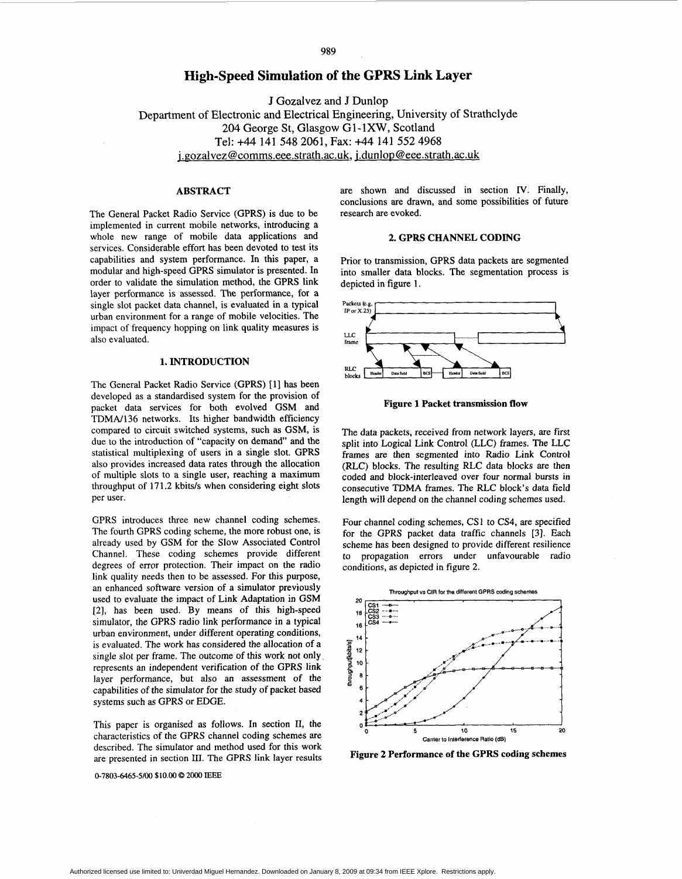# **High-speed Simulation of the GPRS Link Layer**

J Gozalvez and J Dunlop Department of Electronic and Electrical Engineering, University of Strathclyde 204 George St, Glasgow G1-lXW, Scotland Tel: +44 141 548 2061, Fax: +44 141 552 4968 j . aozalvez @ comms *.eee.* s trath. ac. **uk,** i .dun1 **OD** @ eee. s trath . ac **.uk** 

# **ABSTRACT**

The General Packet Radio Service (GPRS) **is** due to be implemented in current mobile networks, introducing a whole new range of mobile data applications and services. Considerable effort has been devoted to test its capabilities and system performance. In this paper, a modular and high-speed GPRS simulator is presented. In order to validate the simulation method, the GPRS link layer performance is assessed. The performance, **for** a single slot packet data channel, is evaluated in a typical urban environment for a range of mobile velocities. The impact of frequency hopping on link quality measures is also evaluated.

### **1. INTRODUCTION**

The General Packet Radio Service (GPRS) [l] has been developed as a standardised system for the provision of packet data services for both evolved GSM and TDMN136 networks. Its higher bandwidth efficiency compared to circuit switched systems, such as **GSM,** is due to the introduction of "capacity on demand" and the statistical multiplexing of users in a single slot. GPRS also provides increased data rates through the allocation of multiple slots to a single user, reaching a maximum throughput of 171.2 kbits/s when considering eight slots per user.

GPRS introduces three new channel coding schemes. The fourth GPRS coding scheme, the more robust one, is already used by GSM for the Slow Associated Control Channel. These coding schemes provide different degrees of error protection. Their impact on the radio link quality needs then to be assessed. For this purpose, an enhanced software version of a simulator previously used to evaluate the impact of Link Adaptation in **GSM [2],** has been used. By means of this high-speed simulator, the GPRS radio link performance in a typical urban environment, under different operating conditions, is evaluated. The work has considered the allocation of a single slot per frame. The outcome of this work not only represents an independent verification of the GPRS link layer performance, but also an assessment of the capabilities of the simulator for the study of packet based systems such as GPRS or EDGE.

This paper is organised as follows. In section **11,** the characteristics of the GPRS channel coding schemes are described. The simulator and method used for this work are presented in section 111. The GPRS link layer results

**0-7803-6465-5/00 \$10.00** Q **2000 IEEE** 

are shown and discussed in section IV. Finally, conclusions are drawn, and some possibilities of future research are evoked.

# **2. GPRS CHANNEL CODING**

Prior to transmission, GPRS data packets are segmented into smaller data blocks. The segmentation process is depicted in figure 1.



**Figure 1 Packet transmission flow** 

The data packets, received from network layers, are first split into Logical Link Control (LLC) frames. The LLC frames are then segmented into Radio Link Control (RLC) blocks. The resulting RLC data blocks are then coded and block-interleaved over **four** normal bursts *in*  consecutive TDMA frames. The RLC block's data field length will depend on the channel coding schemes used.

Four channel coding schemes, CS1 to CS4, are specified for the GPRS packet data traffic channels **[3].** Each scheme has been designed to provide different resilience to propagation errors under unfavourable radio conditions, as depicted in figure 2.



**Figure 2 Performance of the GPRS coding schemes**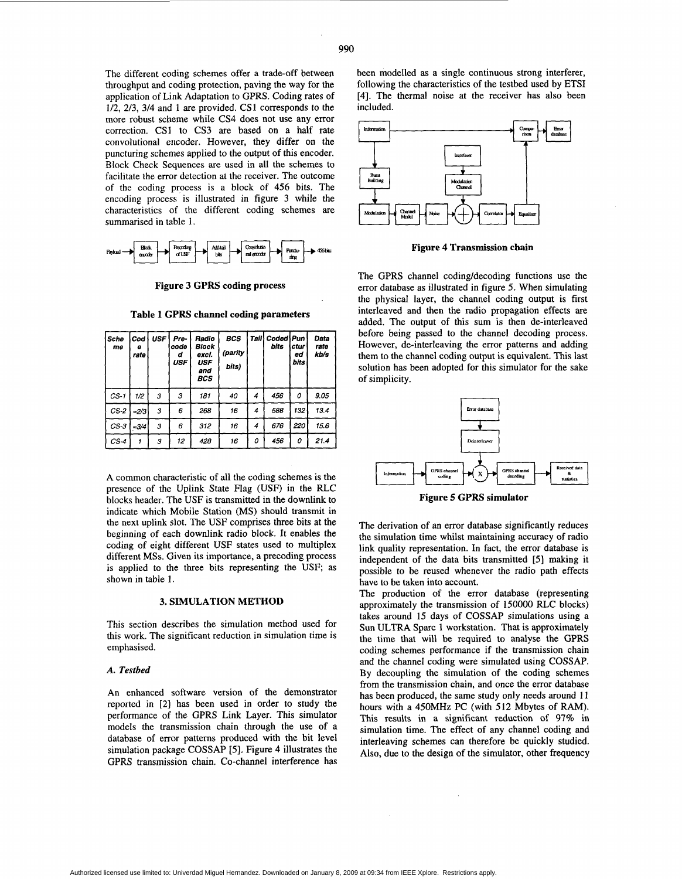The different coding schemes offer a trade-off between throughput and coding protection, paving the way for the application of Link Adaptation to GPRS. Coding rates of *112, 213,* 314 and **1** are provided. CSI corresponds to the more robust scheme while CS4 does not use any error correction. CS1 to CS3 are based on a half rate convolutional encoder. However, they differ on the puncturing schemes applied to the output of this encoder. Block Check Sequences are used in all the schemes to facilitate the error detection at the receiver. The outcome of the coding process is a block of 456 bits. The encoding process is illustrated in figure *3* while the characteristics of the different coding schemes are summarised in table 1.



**Figure 3 GPRS coding process** 

| Sche<br>me | Cod<br>e<br>rate | <b>USF</b> | Pre-<br>code<br>d<br><b>USF</b> | Radio<br>Block<br>exci.<br>USF<br>and<br>BCS | <b>BCS</b><br>(parity<br>bits) | Tail l | Coded Pun<br>bits | ctur<br>ed<br>bits | Data<br>rate<br>kb/s |
|------------|------------------|------------|---------------------------------|----------------------------------------------|--------------------------------|--------|-------------------|--------------------|----------------------|
| $CS-1$     | 1/2              | з          | 3                               | 181                                          | 40                             | 4      | 456               | 0                  | 9.05                 |
| $CS-2$     | $\simeq$ 2/3     | 3          | 6                               | 268                                          | 16                             | 4      | 588               | 132                | 13.4                 |
| $CS-3$     | $=3/4$           | 3          | 6                               | 312                                          | 16                             | 4      | 676               | 220                | 15.6                 |
| $CS-4$     |                  | 3          | 12                              | 428                                          | 16                             | 0      | 456               | 0                  | 21.4                 |

**Table 1 GPRS channel coding parameters** 

**A** common characteristic of all the coding schemes is the presence of the Uplink State Flag (USF) in the RLC blocks header. The USF is transmitted in the downlink to indicate which Mobile Station **(MS)** should transmit in the next uplink slot. The USF comprises three bits at the beginning of each downlink radio block. It enables the coding of eight different USF states used to multiplex different MSs. Given its importance, a precoding process is applied to the three bits representing the USF; as shown in table **1.** 

#### **3. SIMULATION METHOD**

This section describes the simulation method used for this work. The significant reduction in simulation time is emphasised.

#### *A. Testbed*

An enhanced software version of the demonstrator reported in *[2]* has been used in order to study the performance of the GPRS Link Layer. This simulator models the transmission chain through the use of a database of error patterns produced with the bit level simulation package COSSAP *[5].* Figure **4** illustrates the GPRS transmission chain. Co-channel interference has

been modelled as a single continuous strong interferer, following the characteristics of the testbed used by ETSI [4]. The thermal noise at the receiver has also been included.



**Figure 4 Transmission chain** 

The GPRS channel coding/decoding functions use the error database as illustrated in figure *5.* When simulating the physical layer, the channel coding output is first interleaved and then the radio propagation effects are added. The output of this sum is then de-interleaved before being passed to the channel decoding process. However, de-interleaving the error patterns and adding them to the channel coding output is equivalent. This last solution has been adopted for this simulator for the sake of simplicity.



**Figure** *5* **GPRS simulator** 

The derivation of an error database significantly reduces the simulation time whilst maintaining accuracy of radio link quality representation. In fact, the error database is independent of the data bits transmitted *[5]* making it possible to be reused whenever the radio path effects have to be taken into account.

The production of the error database (representing approximately the transmission of 150000 RLC blocks) takes around 15 days of COSSAP simulations using a Sun ULTRA Sparc 1 workstation. That is approximately the time that will be required to analyse the GPRS coding schemes performance if the transmission chain and the channel coding were simulated using COSSAP. By decoupling the simulation of the coding schemes from the transmission chain, and once the error database has been produced, the same study only needs around **<sup>11</sup>** hours with a 450MHz PC (with *512* Mbytes of RAM). This results in a significant reduction of 97% in simulation time. The effect of any channel coding and interleaving schemes can therefore be quickly studied. **Also,** due to the design of the simulator, other frequency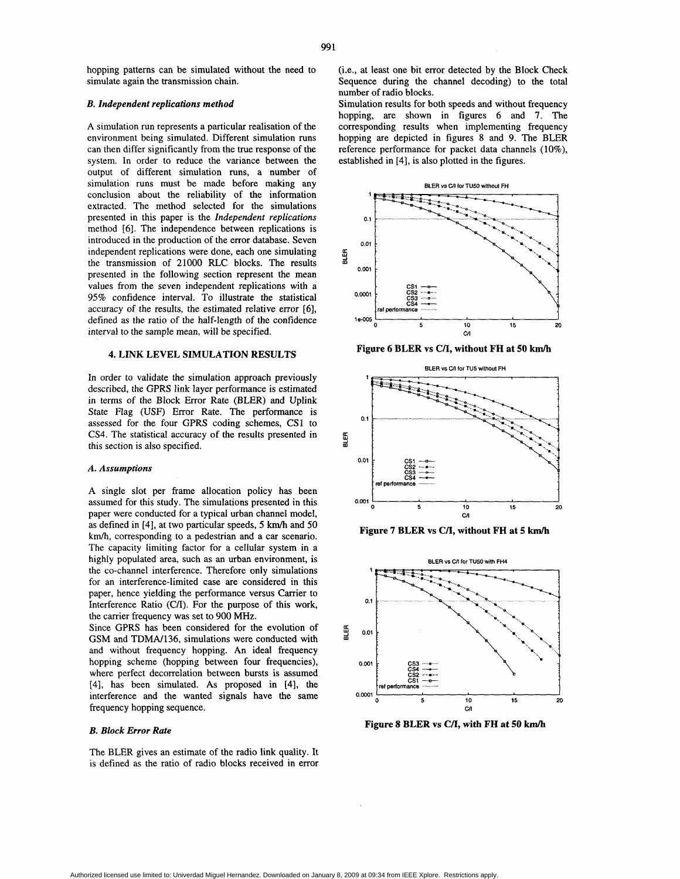<span id="page-2-0"></span>hopping patterns can be simulated without the need to simulate again the transmission chain.

# *B. Independent replications method*

**A** simulation run represents a particular realisation of the environment being simulated. Different simulation runs can then differ significantly from the true response of the system. In order to reduce the variance between the output of different simulation runs, a number of simulation runs must be made before making any conclusion about the reliability of the information extracted. The method selected for the simulations presented in this paper is the *Independent replications*  method **[6].** The independence between replications is introduced in the production of the error database. Seven independent replications were done, each one simulating the transmission of 21000 RLC blocks. The results presented in the following section represent the mean values from the seven independent replications with a 95% confidence interval. To illustrate the statistical accuracy of the results, the estimated relative error *[6],*  defined as the ratio of the half-length of the confidence interval to the sample mean, will be specified.

#### **4. LINK LEVEL SIMULATION RESULTS**

In order to validate the simulation approach previously described, the CPRS link layer performance is estimated in terms of the Block Error Rate (BLER) and Uplink State Flag **(USF)** Error Rate. The performance is assessed for the four GPRS coding schemes, CS1 to CS4. The statistical accuracy of the results presented in this section is also specified.

#### *A. Assumptions*

**A** single slot per frame allocation policy has been assumed for this study. The simulations presented in this paper were conducted for a typical urban channel model, as defined in [4], at two particular speeds, *5* km/h and 50 **kmh,** corresponding to a pedestrian and a car scenario. The capacity limiting factor for a cellular system in a highly populated area, such as an urban environment, is the co-channel interference. Therefore only simulations for an interference-limited case are considered in this paper, hence yielding the performance versus Carrier to Interference Ratio (C/I). For the purpose of this work, the carrier frequency was set to 900 **MHz.** 

Since GPRS has been considered for the evolution of GSM and TDMA/136, simulations were conducted with and without frequency hopping. An ideal frequency hopping scheme (hopping between four frequencies), where perfect decorrelation between bursts is assumed [4], has been simulated. **As** proposed in **[4],** the interference and the wanted signals have the same frequency hopping sequence.

The BLER gives an estimate of the radio link quality. It is defined as the ratio of radio blocks received in error

(i.e., at least one bit error detected by the Block Check Sequence during the channel decoding) to the total number of radio blocks.

Simulation results for both speeds and without frequency hopping, are shown in figures **6** and **7.** The corresponding results when implementing frequency hopping are depicted in figures **8** and 9. The BLER reference performance for packet data channels (10%), established in [4], is also plotted in the figures.



Figure 6 BLER vs C/I, without FH at 50 km/h



**Figure 7 BLER vs C/I, without FH at 5** km/h



**Figure 8 BLER vs** *C/I,* **with FH at 50** km/h *B. Block Error Rate*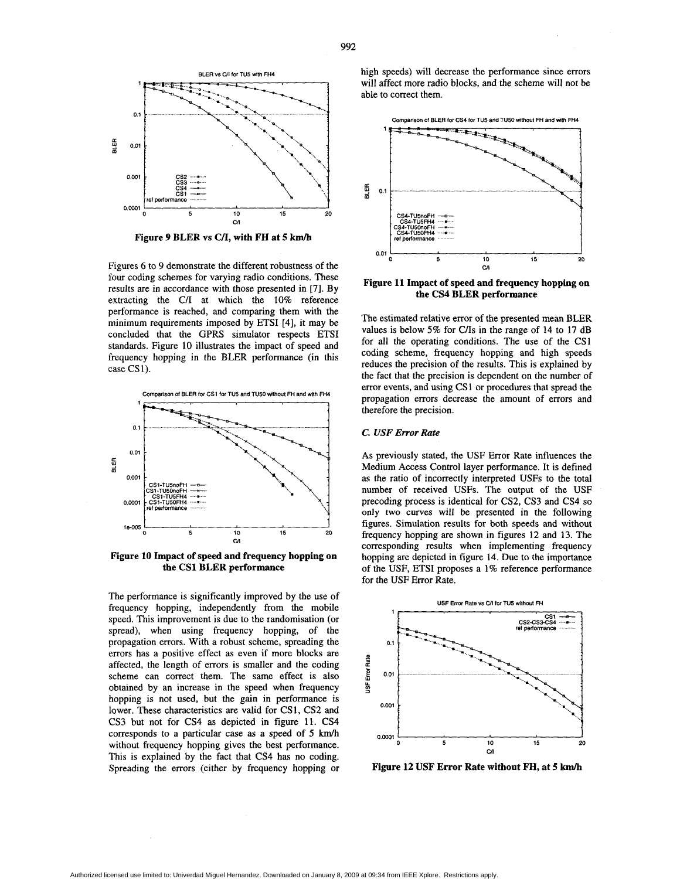

**Figure 9 BLER vs C/I, with FH at 5 kmh** 

[Figures](#page-2-0) *6* to **9** demonstrate the different robustness of the four coding schemes for varying radio conditions. These results are in accordance with those presented in [7]. By extracting the CA at which the 10% reference performance is reached, and comparing them with the minimum requirements imposed by ETSI [4], it may be concluded that the GPRS simulator respects ETSI standards. Figure 10 illustrates the impact of speed and frequency hopping in the BLER performance (in this case CS1).



**Figure 10 Impact of speed and frequency hopping on the CS1 BLER performance** 

The performance is significantly improved by the use of frequency hopping, independently from the mobile speed. This improvement is due to the randomisation (or spread), when using frequency hopping, of the propagation errors. With a robust scheme, spreading the errors has a positive effect as even if more blocks are affected, the length of errors is smaller and the coding scheme can correct them. The same effect is also obtained by an increase in the speed when frequency hopping is not used, but the gain in performance is lower. These characteristics are valid for CS1, CS2 and **CS3** but not for CS4 as depicted in figure 11. CS4 corresponds to a particular case as a speed of 5 km/h without frequency hopping gives the best performance. This is explained by the fact that CS4 has no coding. Spreading the errors (either by frequency hopping or high speeds) will decrease the performance since errors will affect more radio blocks, and the scheme will not be able to correct them.



**Figure 11 Impact of speed and frequency hopping on the CS4 BLER performance** 

The estimated relative error of the presented mean BLER values is below 5% for C/Is in the range of 14 to 17 dB for all the operating conditions. The use of the **CSl**  coding scheme, frequency hopping and high speeds reduces the precision of the results. This is explained by the fact that the precision is dependent on the number of error events, and using CS1 or procedures that spread the propagation errors decrease the amount of errors and therefore the precision.

### *C. USF Error Rate*

As previously stated, the USF Error Rate influences the Medium Access Control layer performance. It is defined as the ratio of incorrectly interpreted USFs to the total number of received USFs. The output of the USF precoding process is identical for CS2, CS3 and CS4 so **only two** curves will be presented in the following figures. Simulation results for both speeds and without frequency hopping are shown in figures 12 and **13.** The corresponding results when implementing frequency hopping are depicted in [figure 14.](#page-4-0) Due to the importance of the USF, ETSI proposes a 1% reference performance for the USF Error Rate.



**Figure 12 USF Error Rate without FH, at 5 km/h**